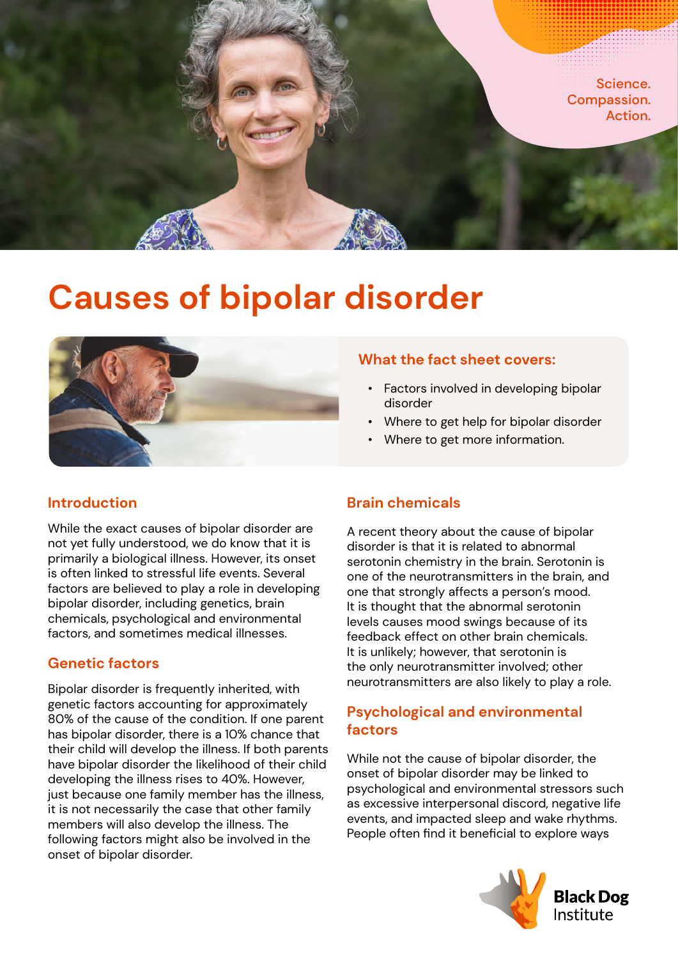

# **Causes of bipolar disorder**



## **Introduction**

While the exact causes of bipolar disorder are not yet fully understood, we do know that it is primarily a biological illness. However, its onset is often linked to stressful life events. Several factors are believed to play a role in developing bipolar disorder, including genetics, brain chemicals, psychological and environmental factors, and sometimes medical illnesses.

## **Genetic factors**

Bipolar disorder is frequently inherited, with genetic factors accounting for approximately 80% of the cause of the condition. If one parent has bipolar disorder, there is a 10% chance that their child will develop the illness. If both parents have bipolar disorder the likelihood of their child developing the illness rises to 40%. However, just because one family member has the illness, it is not necessarily the case that other family members will also develop the illness. The following factors might also be involved in the onset of bipolar disorder.

## **What the fact sheet covers:**

- Factors involved in developing bipolar disorder
- Where to get help for bipolar disorder
- Where to get more information.

# **Brain chemicals**

A recent theory about the cause of bipolar disorder is that it is related to abnormal serotonin chemistry in the brain. Serotonin is one of the neurotransmitters in the brain, and one that strongly affects a person's mood. It is thought that the abnormal serotonin levels causes mood swings because of its feedback effect on other brain chemicals. It is unlikely; however, that serotonin is the only neurotransmitter involved; other neurotransmitters are also likely to play a role.

# **Psychological and environmental factors**

While not the cause of bipolar disorder, the onset of bipolar disorder may be linked to psychological and environmental stressors such as excessive interpersonal discord, negative life events, and impacted sleep and wake rhythms. People often find it beneficial to explore ways